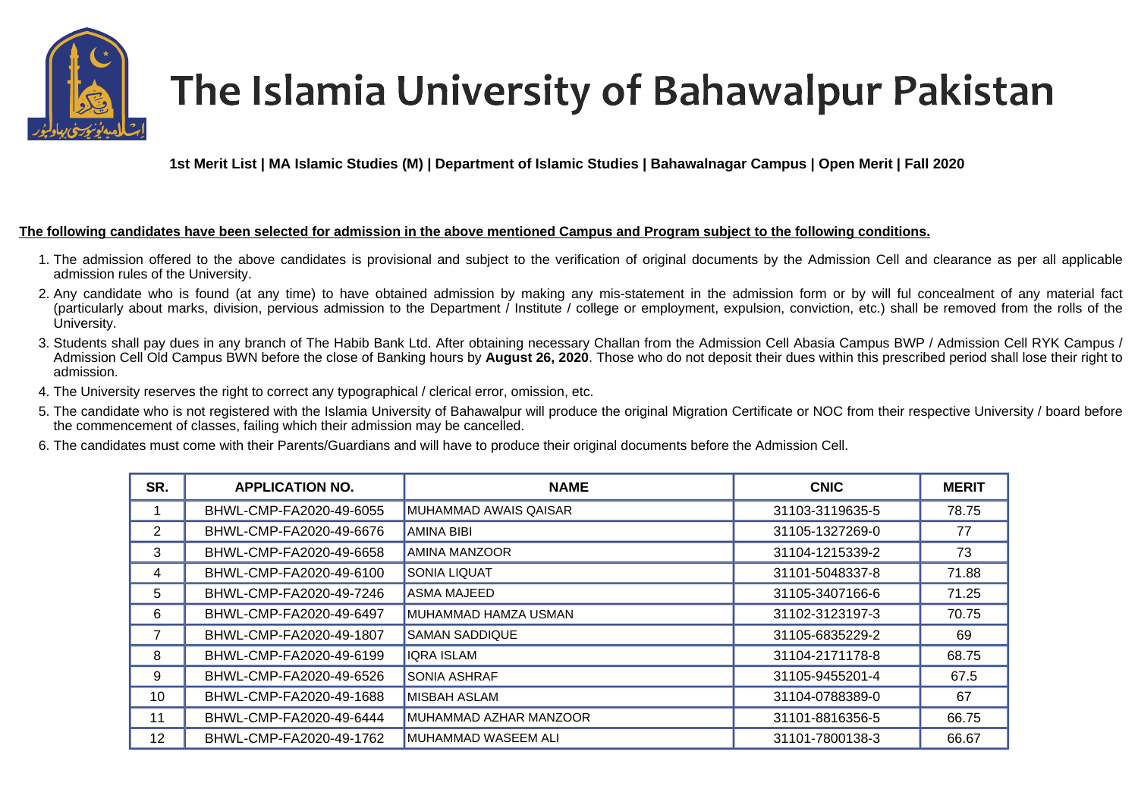

## The Islamia University of Bahawalpur Pakistan

**1st Merit List | MA Islamic Studies (M) | Department of Islamic Studies | Bahawalnagar Campus | Open Merit | Fall 2020** 

## **The following candidates have been selected for admission in the above mentioned Campus and Program subject to the following conditions.**

- 1. The admission offered to the above candidates is provisional and subject to the verification of original documents by the Admission Cell and clearance as per all applicable admission rules of the University.
- 2. Any candidate who is found (at any time) to have obtained admission by making any mis-statement in the admission form or by will ful concealment of any material fact (particularly about marks, division, pervious admission to the Department / Institute / college or employment, expulsion, conviction, etc.) shall be removed from the rolls of the University.
- 3. Students shall pay dues in any branch of The Habib Bank Ltd. After obtaining necessary Challan from the Admission Cell Abasia Campus BWP / Admission Cell RYK Campus / Admission Cell Old Campus BWN before the close of Banking hours by **August 26, 2020**. Those who do not deposit their dues within this prescribed period shall lose their right to admission.
- 4. The University reserves the right to correct any typographical / clerical error, omission, etc.
- 5. The candidate who is not registered with the Islamia University of Bahawalpur will produce the original Migration Certificate or NOC from their respective University / board before the commencement of classes, failing which their admission may be cancelled.
- 6. The candidates must come with their Parents/Guardians and will have to produce their original documents before the Admission Cell.

| SR. | <b>APPLICATION NO.</b>  | <b>NAME</b>            | <b>CNIC</b>     | <b>MERIT</b> |
|-----|-------------------------|------------------------|-----------------|--------------|
|     | BHWL-CMP-FA2020-49-6055 | MUHAMMAD AWAIS QAISAR  | 31103-3119635-5 | 78.75        |
| 2   | BHWL-CMP-FA2020-49-6676 | <b>AMINA BIBI</b>      | 31105-1327269-0 | 77           |
| 3   | BHWL-CMP-FA2020-49-6658 | AMINA MANZOOR          | 31104-1215339-2 | 73           |
| 4   | BHWL-CMP-FA2020-49-6100 | <b>SONIA LIQUAT</b>    | 31101-5048337-8 | 71.88        |
| 5   | BHWL-CMP-FA2020-49-7246 | ASMA MAJEED            | 31105-3407166-6 | 71.25        |
| 6   | BHWL-CMP-FA2020-49-6497 | MUHAMMAD HAMZA USMAN   | 31102-3123197-3 | 70.75        |
|     | BHWL-CMP-FA2020-49-1807 | <b>SAMAN SADDIQUE</b>  | 31105-6835229-2 | 69           |
| 8   | BHWL-CMP-FA2020-49-6199 | <b>IQRA ISLAM</b>      | 31104-2171178-8 | 68.75        |
| 9   | BHWL-CMP-FA2020-49-6526 | <b>SONIA ASHRAF</b>    | 31105-9455201-4 | 67.5         |
| 10  | BHWL-CMP-FA2020-49-1688 | MISBAH ASLAM           | 31104-0788389-0 | 67           |
| 11  | BHWL-CMP-FA2020-49-6444 | MUHAMMAD AZHAR MANZOOR | 31101-8816356-5 | 66.75        |
| 12  | BHWL-CMP-FA2020-49-1762 | MUHAMMAD WASEEM ALI    | 31101-7800138-3 | 66.67        |